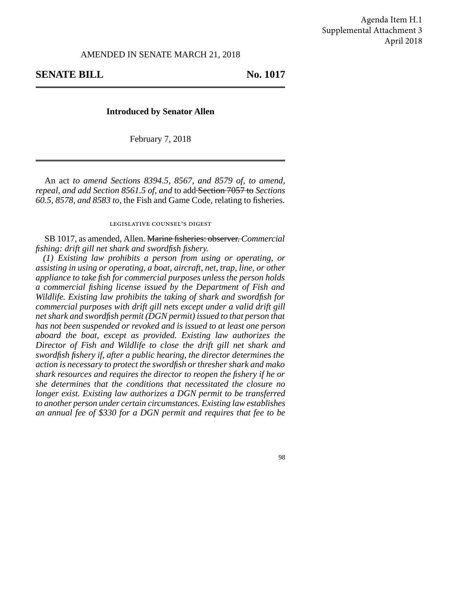## **SENATE BILL** No. 1017

## **Introduced by Senator Allen**

February 7, 2018

An act *to amend Sections 8394.5, 8567, and 8579 of, to amend, repeal, and add Section 8561.5 of, and* to add Section 7057 to *Sections 60.5, 8578, and 8583 to,* the Fish and Game Code, relating to fisheries.

## legislative counsel's digest

SB 1017, as amended, Allen. Marine fisheries: observer. *Commercial fishing: drift gill net shark and swordfish fishery.*

*(1) Existing law prohibits a person from using or operating, or assisting in using or operating, a boat, aircraft, net, trap, line, or other appliance to take fish for commercial purposes unless the person holds a commercial fishing license issued by the Department of Fish and Wildlife. Existing law prohibits the taking of shark and swordfish for commercial purposes with drift gill nets except under a valid drift gill net shark and swordfish permit (DGN permit) issued to that person that has not been suspended or revoked and is issued to at least one person aboard the boat, except as provided. Existing law authorizes the Director of Fish and Wildlife to close the drift gill net shark and swordfish fishery if, after a public hearing, the director determines the action is necessary to protect the swordfish or thresher shark and mako shark resources and requires the director to reopen the fishery if he or she determines that the conditions that necessitated the closure no longer exist. Existing law authorizes a DGN permit to be transferred to another person under certain circumstances. Existing law establishes an annual fee of \$330 for a DGN permit and requires that fee to be*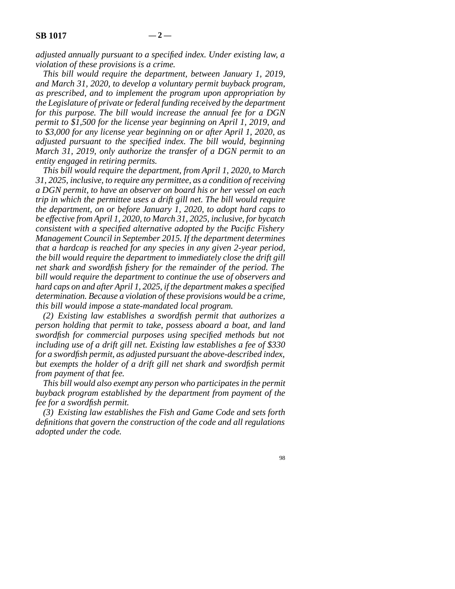*adjusted annually pursuant to a specified index. Under existing law, a violation of these provisions is a crime.*

*This bill would require the department, between January 1, 2019, and March 31, 2020, to develop a voluntary permit buyback program, as prescribed, and to implement the program upon appropriation by the Legislature of private or federal funding received by the department for this purpose. The bill would increase the annual fee for a DGN permit to \$1,500 for the license year beginning on April 1, 2019, and to \$3,000 for any license year beginning on or after April 1, 2020, as adjusted pursuant to the specified index. The bill would, beginning March 31, 2019, only authorize the transfer of a DGN permit to an entity engaged in retiring permits.*

*This bill would require the department, from April 1, 2020, to March 31, 2025, inclusive, to require any permittee, as a condition of receiving a DGN permit, to have an observer on board his or her vessel on each trip in which the permittee uses a drift gill net. The bill would require the department, on or before January 1, 2020, to adopt hard caps to be effective from April 1, 2020, to March 31, 2025, inclusive, for bycatch consistent with a specified alternative adopted by the Pacific Fishery Management Council in September 2015. If the department determines that a hardcap is reached for any species in any given 2-year period, the bill would require the department to immediately close the drift gill net shark and swordfish fishery for the remainder of the period. The bill would require the department to continue the use of observers and hard caps on and after April 1, 2025, if the department makes a specified determination. Because a violation of these provisions would be a crime, this bill would impose a state-mandated local program.*

*(2) Existing law establishes a swordfish permit that authorizes a person holding that permit to take, possess aboard a boat, and land swordfish for commercial purposes using specified methods but not including use of a drift gill net. Existing law establishes a fee of \$330 for a swordfish permit, as adjusted pursuant the above-described index, but exempts the holder of a drift gill net shark and swordfish permit from payment of that fee.*

*This bill would also exempt any person who participates in the permit buyback program established by the department from payment of the fee for a swordfish permit.*

*(3) Existing law establishes the Fish and Game Code and sets forth definitions that govern the construction of the code and all regulations adopted under the code.*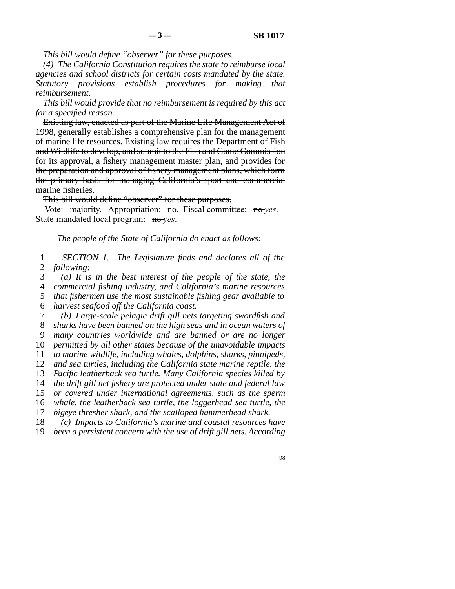*This bill would define "observer" for these purposes.*

*(4) The California Constitution requires the state to reimburse local agencies and school districts for certain costs mandated by the state. Statutory provisions establish procedures for making that reimbursement.*

*This bill would provide that no reimbursement is required by this act for a specified reason.*

Existing law, enacted as part of the Marine Life Management Act of 1998, generally establishes a comprehensive plan for the management of marine life resources. Existing law requires the Department of Fish and Wildlife to develop, and submit to the Fish and Game Commission for its approval, a fishery management master plan, and provides for the preparation and approval of fishery management plans, which form the primary basis for managing California's sport and commercial marine fisheries.

This bill would define "observer" for these purposes.

Vote: majority. Appropriation: no. Fiscal committee: no *yes*. State-mandated local program: no *yes*.

*The people of the State of California do enact as follows:*

 line 1 *SECTION 1. The Legislature finds and declares all of the* 2 *following:* 

line 3 *(a) It is in the best interest of the people of the state, the*

 line 4 *commercial fishing industry, and California's marine resources* 5 *that fishermen use the most sustainable fishing gear available to*<br>6 *harvest seafood off the California coast.* 

harvest seafood off the California coast.

 line 7 *(b) Large-scale pelagic drift gill nets targeting swordfish and* line 8 *sharks have been banned on the high seas and in ocean waters of*

 line 9 *many countries worldwide and are banned or are no longer* 10 *permitted by all other states because of the unavoidable impacts* 

11 *to marine wildlife, including whales, dolphins, sharks, pinnipeds,* 

12 *and sea turtles, including the California state marine reptile, the* 

13 *Pacific leatherback sea turtle. Many California species killed by* 

14 *the drift gill net fishery are protected under state and federal law* 

15 *or covered under international agreements, such as the sperm* 

16 *whale, the leatherback sea turtle, the loggerhead sea turtle, the* 

17 *bigeye thresher shark, and the scalloped hammerhead shark.* 

18 (c) *Impacts to California's marine and coastal resources have* 

19 *been a persistent concern with the use of drift gill nets. According*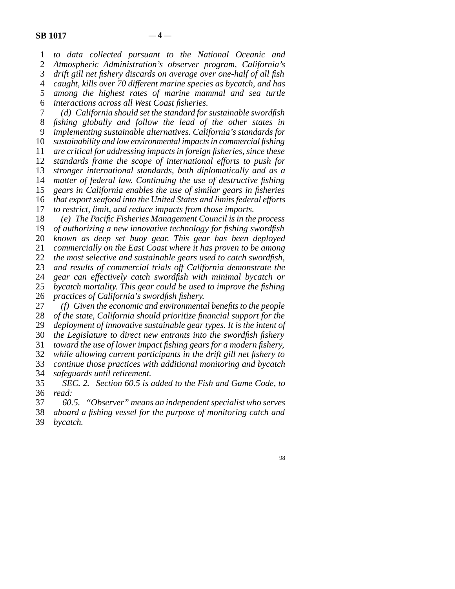line 1 *to data collected pursuant to the National Oceanic and* 2 *Atmospheric Administration's observer program, California's*<br>3 *drift gill net fishery discards on average over one-half of all fish* drift gill net fishery discards on average over one-half of all fish line 4 *caught, kills over 70 different marine species as bycatch, and has* 5 among the highest rates of marine mammal and sea turtle line 6 *interactions across all West Coast fisheries.*

 line 7 *(d) California should set the standard for sustainable swordfish* line 8 *fishing globally and follow the lead of the other states in* line 9 *implementing sustainable alternatives. California's standards for sustainability and low environmental impacts in commercial fishing are critical for addressing impacts in foreign fisheries, since these standards frame the scope of international efforts to push for stronger international standards, both diplomatically and as a matter of federal law. Continuing the use of destructive fishing* 15 gears in California enables the use of similar gears in fisheries *that export seafood into the United States and limits federal efforts to restrict, limit, and reduce impacts from those imports.* 

18 (e) The Pacific Fisheries Management Council is in the process

19 *of authorizing a new innovative technology for fishing swordfish* 20 *known as deep set buoy gear. This gear has been deployed* 21 *commercially on the East Coast where it has proven to be among* 

22 *the most selective and sustainable gears used to catch swordfish,* 

23 and results of commercial trials off California demonstrate the

24 *gear can effectively catch swordfish with minimal bycatch or*<br>25 *bycatch mortality. This gear could be used to improve the fishing* bycatch mortality. This gear could be used to improve the fishing

26 *practices of California's swordfish fishery.* 

27 (f) Given the economic and environmental benefits to the people

28 *of the state, California should prioritize financial support for the* 

29 *deployment of innovative sustainable gear types. It is the intent of* 

 line 30 *the Legislature to direct new entrants into the swordfish fishery* line 31 *toward the use of lower impact fishing gears for a modern fishery,*

line 32 *while allowing current participants in the drift gill net fishery to*

line 33 *continue those practices with additional monitoring and bycatch*

line 34 *safeguards until retirement.*

 line 35 *SEC. 2. Section 60.5 is added to the Fish and Game Code, to* line 36 *read:*

line 37 *60.5. "Observer" means an independent specialist who serves*

line 38 *aboard a fishing vessel for the purpose of monitoring catch and*

39 *bycatch.*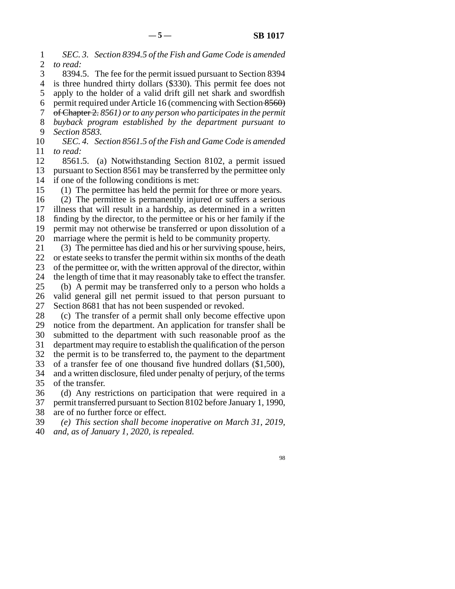line 1 *SEC. 3. Section 8394.5 of the Fish and Game Code is amended* 2 *to read:* 

3 8394.5. The fee for the permit issued pursuant to Section 8394 4 is three hundred thirty dollars (\$330). This permit fee does not 5 apply to the holder of a valid drift gill net shark and swordfish 6 permit required under Article 16 (commencing with Section  $\left(8560\right)$ ) line 7 of Chapter 2. *8561) or to any person who participates in the permit* line 8 *buyback program established by the department pursuant to* 9 *Section 8583.* 

10 *SEC. 4. Section 8561.5 of the Fish and Game Code is amended* 11 *to read:* 

12 8561.5. (a) Notwithstanding Section 8102, a permit issued 13 pursuant to Section 8561 may be transferred by the permittee only 14 if one of the following conditions is met:

15 (1) The permittee has held the permit for three or more years.

16 (2) The permittee is permanently injured or suffers a serious 17 illness that will result in a hardship, as determined in a written 18 finding by the director, to the permittee or his or her family if the 19 permit may not otherwise be transferred or upon dissolution of a 20 marriage where the permit is held to be community property.

21 (3) The permittee has died and his or her surviving spouse, heirs,

22 or estate seeks to transfer the permit within six months of the death 23 of the permittee or, with the written approval of the director, within

24 the length of time that it may reasonably take to effect the transfer.<br>25 (b) A permit may be transferred only to a person who holds a (b) A permit may be transferred only to a person who holds a

26 valid general gill net permit issued to that person pursuant to 27 Section 8681 that has not been suspended or revoked.

28 (c) The transfer of a permit shall only become effective upon 29 notice from the department. An application for transfer shall be

30 submitted to the department with such reasonable proof as the 31 department may require to establish the qualification of the person

32 the permit is to be transferred to, the payment to the department

33 of a transfer fee of one thousand five hundred dollars (\$1,500),

34 and a written disclosure, filed under penalty of perjury, of the terms 35 of the transfer.

36 (d) Any restrictions on participation that were required in a 37 permit transferred pursuant to Section 8102 before January 1, 1990, 38 are of no further force or effect.

 line 39 *(e) This section shall become inoperative on March 31, 2019,* line 40 *and, as of January 1, 2020, is repealed.*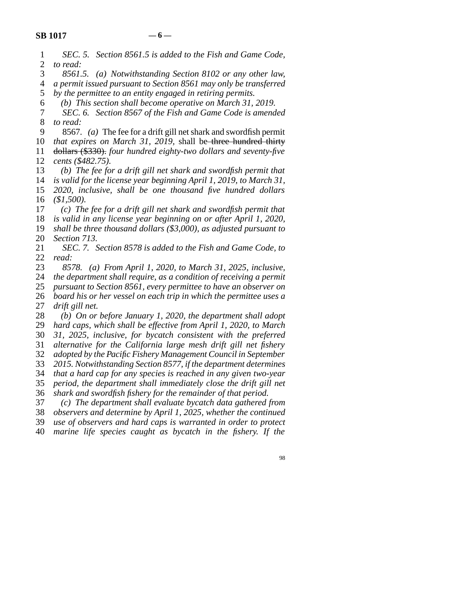| $\mathbf{1}$   | SEC. 5. Section 8561.5 is added to the Fish and Game Code,                                                                      |
|----------------|---------------------------------------------------------------------------------------------------------------------------------|
| $\overline{2}$ | to read:                                                                                                                        |
| 3              | 8561.5. (a) Notwithstanding Section 8102 or any other law,                                                                      |
| $\overline{4}$ | a permit issued pursuant to Section 8561 may only be transferred                                                                |
| 5              | by the permittee to an entity engaged in retiring permits.                                                                      |
| 6              | (b) This section shall become operative on March 31, 2019.                                                                      |
| 7              | SEC. 6. Section 8567 of the Fish and Game Code is amended                                                                       |
| 8              | to read:                                                                                                                        |
| 9              | 8567. (a) The fee for a drift gill net shark and swordfish permit                                                               |
| 10             | that expires on March 31, 2019, shall be three hundred thirty                                                                   |
| 11             | dollars (\$330). four hundred eighty-two dollars and seventy-five                                                               |
| 12             | cents (\$482.75).                                                                                                               |
| 13             | (b) The fee for a drift gill net shark and swordfish permit that                                                                |
| 14             | is valid for the license year beginning April 1, 2019, to March 31,                                                             |
| 15             | 2020, inclusive, shall be one thousand five hundred dollars                                                                     |
| 16             | (\$1,500).                                                                                                                      |
| 17             | $(c)$ The fee for a drift gill net shark and swordfish permit that                                                              |
| 18             | is valid in any license year beginning on or after April 1, 2020,                                                               |
| 19             | shall be three thousand dollars $(\$3,000)$ , as adjusted pursuant to                                                           |
| 20             | Section 713.                                                                                                                    |
| 21             | SEC. 7. Section 8578 is added to the Fish and Game Code, to                                                                     |
| 22             | read:                                                                                                                           |
| 23             | (a) From April 1, 2020, to March 31, 2025, inclusive,<br>8578.                                                                  |
| 24             | the department shall require, as a condition of receiving a permit                                                              |
| 25             | pursuant to Section 8561, every permittee to have an observer on                                                                |
| 26             | board his or her vessel on each trip in which the permittee uses a                                                              |
| 27             | drift gill net.                                                                                                                 |
| 28             | (b) On or before January 1, 2020, the department shall adopt                                                                    |
| 29             | hard caps, which shall be effective from April 1, 2020, to March                                                                |
| 30             | 31, 2025, inclusive, for bycatch consistent with the preferred                                                                  |
| 31             | alternative for the California large mesh drift gill net fishery                                                                |
| 32             | adopted by the Pacific Fishery Management Council in September                                                                  |
| 33             | 2015. Notwithstanding Section 8577, if the department determines                                                                |
| 34             | that a hard cap for any species is reached in any given two-year                                                                |
| 35             | period, the department shall immediately close the drift gill net                                                               |
| 36             | shark and swordfish fishery for the remainder of that period.                                                                   |
| 37             | (c) The department shall evaluate bycatch data gathered from                                                                    |
| 38             | observers and determine by April 1, 2025, whether the continued                                                                 |
| 39<br>40       | use of observers and hard caps is warranted in order to protect<br>marine life species caught as bycatch in the fishery. If the |
|                |                                                                                                                                 |
|                |                                                                                                                                 |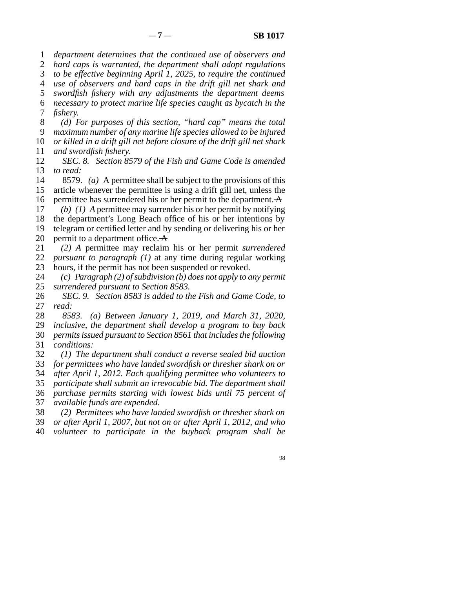1 *department determines that the continued use of observers and* 

2 *hard caps is warranted, the department shall adopt regulations* line 3 *to be effective beginning April 1, 2025, to require the continued*

line 4 *use of observers and hard caps in the drift gill net shark and*

5 *swordfish fishery with any adjustments the department deems* 

 line 6 *necessary to protect marine life species caught as bycatch in the* 7 *fishery.* 

 line 8 *(d) For purposes of this section, "hard cap" means the total* line 9 *maximum number of any marine life species allowed to be injured* 10 *or killed in a drift gill net before closure of the drift gill net shark* 11 *and swordfish fishery.* 

12 *SEC. 8. Section 8579 of the Fish and Game Code is amended* 13 *to read:* 

14 8579. *(a)* A permittee shall be subject to the provisions of this 15 article whenever the permittee is using a drift gill net, unless the 16 permittee has surrendered his or her permit to the department.  $\overline{A}$ 

17  $(b)$  (1) A permittee may surrender his or her permit by notifying 18 the department's Long Beach office of his or her intentions by 19 telegram or certified letter and by sending or delivering his or her

20 permit to a department office.  $\overline{A}$ 

- line 21 *(2) A* permittee may reclaim his or her permit *surrendered* 22 *pursuant to paragraph (1)* at any time during regular working 23 hours, if the permit has not been suspended or revoked.
- 24 (c) Paragraph (2) of subdivision (b) does not apply to any permit 25 surrendered pursuant to Section 8583. surrendered pursuant to Section 8583.

26 *SEC. 9. Section 8583 is added to the Fish and Game Code, to* 27 *read:*  $read:$ 

line 28 *8583. (a) Between January 1, 2019, and March 31, 2020,*

 line 29 *inclusive, the department shall develop a program to buy back* line 30 *permits issued pursuant to Section 8561 that includes the following*

31 *conditions:* 

 line 32 *(1) The department shall conduct a reverse sealed bid auction* 33 *for permittees who have landed swordfish or thresher shark on or* 

line 34 *after April 1, 2012. Each qualifying permittee who volunteers to*

35 participate shall submit an irrevocable bid. The department shall

 line 36 *purchase permits starting with lowest bids until 75 percent of* line 37 *available funds are expended.*

line 38 *(2) Permittees who have landed swordfish or thresher shark on*

line 39 *or after April 1, 2007, but not on or after April 1, 2012, and who*

line 40 *volunteer to participate in the buyback program shall be*